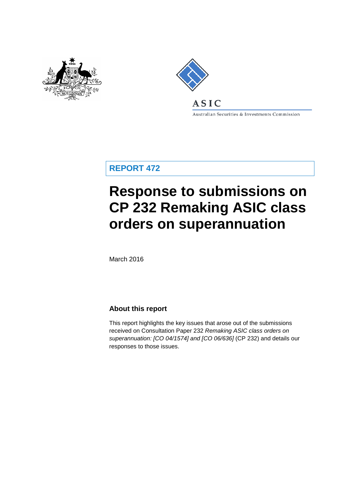



Australian Securities & Investments Commission

**REPORT 472**

# **Response to submissions on CP 232 Remaking ASIC class orders on superannuation**

March 2016

### **About this report**

This report highlights the key issues that arose out of the submissions received on Consultation Paper 232 *Remaking ASIC class orders on superannuation: [CO 04/1574] and [CO 06/636]* (CP 232) and details our responses to those issues.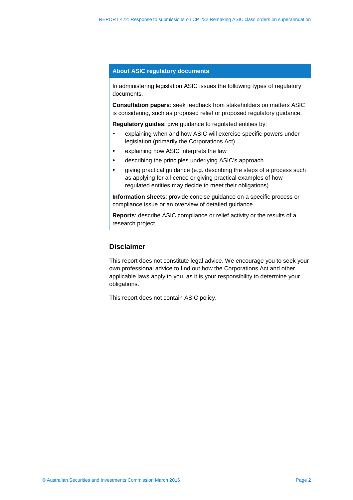#### **About ASIC regulatory documents**

In administering legislation ASIC issues the following types of regulatory documents.

**Consultation papers**: seek feedback from stakeholders on matters ASIC is considering, such as proposed relief or proposed regulatory guidance.

**Regulatory guides**: give guidance to regulated entities by:

- explaining when and how ASIC will exercise specific powers under legislation (primarily the Corporations Act)
- explaining how ASIC interprets the law
- describing the principles underlying ASIC's approach
- aiving practical guidance (e.g. describing the steps of a process such as applying for a licence or giving practical examples of how regulated entities may decide to meet their obligations).

**Information sheets**: provide concise guidance on a specific process or compliance issue or an overview of detailed guidance.

**Reports**: describe ASIC compliance or relief activity or the results of a research project.

### **Disclaimer**

This report does not constitute legal advice. We encourage you to seek your own professional advice to find out how the Corporations Act and other applicable laws apply to you, as it is your responsibility to determine your obligations.

This report does not contain ASIC policy.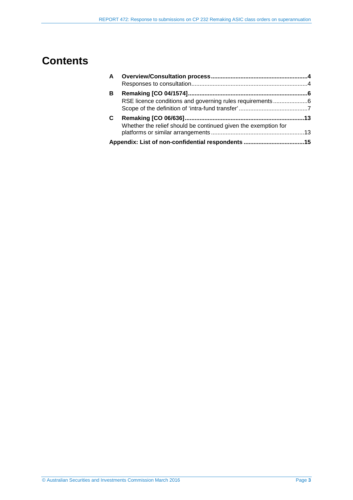## **Contents**

| $\mathsf{A}$ |                                                                |  |
|--------------|----------------------------------------------------------------|--|
|              |                                                                |  |
| в            |                                                                |  |
|              | RSE licence conditions and governing rules requirements6       |  |
|              |                                                                |  |
| C            |                                                                |  |
|              | Whether the relief should be continued given the exemption for |  |
|              |                                                                |  |
|              |                                                                |  |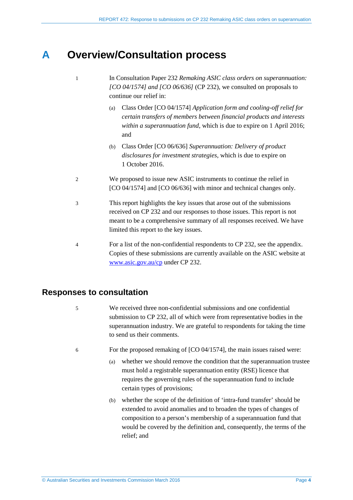## <span id="page-3-0"></span>**A Overview/Consultation process**

- 1 In Consultation Paper 232 *Remaking ASIC class orders on superannuation: [CO 04/1574] and [CO 06/636]* (CP 232), we consulted on proposals to continue our relief in:
	- (a) Class Order [CO 04/1574] *Application form and cooling-off relief for certain transfers of members between financial products and interests within a superannuation fund*, which is due to expire on 1 April 2016; and
	- (b) Class Order [CO 06/636] *Superannuation: Delivery of product disclosures for investment strategies*, which is due to expire on 1 October 2016.
- 2 We proposed to issue new ASIC instruments to continue the relief in [CO 04/1574] and [CO 06/636] with minor and technical changes only.
- 3 This report highlights the key issues that arose out of the submissions received on CP 232 and our responses to those issues. This report is not meant to be a comprehensive summary of all responses received. We have limited this report to the key issues.
- 4 For a list of the non-confidential respondents to CP 232, see the appendix. Copies of these submissions are currently available on the ASIC website at [www.asic.gov.au/cp](http://www.asic.gov.au/cp) under CP 232.

## <span id="page-3-1"></span>**Responses to consultation**

- 5 We received three non-confidential submissions and one confidential submission to CP 232, all of which were from representative bodies in the superannuation industry. We are grateful to respondents for taking the time to send us their comments.
- 6 For the proposed remaking of [CO 04/1574], the main issues raised were:
	- (a) whether we should remove the condition that the superannuation trustee must hold a registrable superannuation entity (RSE) licence that requires the governing rules of the superannuation fund to include certain types of provisions;
	- (b) whether the scope of the definition of 'intra-fund transfer' should be extended to avoid anomalies and to broaden the types of changes of composition to a person's membership of a superannuation fund that would be covered by the definition and, consequently, the terms of the relief; and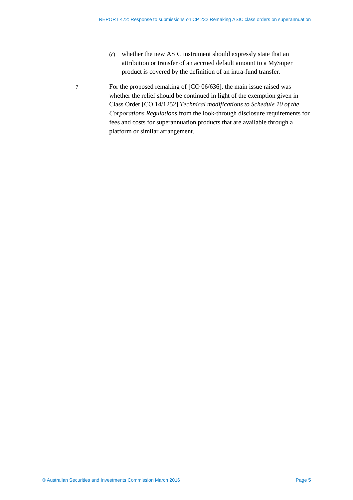- (c) whether the new ASIC instrument should expressly state that an attribution or transfer of an accrued default amount to a MySuper product is covered by the definition of an intra-fund transfer.
- 7 For the proposed remaking of [CO 06/636], the main issue raised was whether the relief should be continued in light of the exemption given in Class Order [CO 14/1252] *Technical modifications to Schedule 10 of the Corporations Regulations* from the look-through disclosure requirements for fees and costs for superannuation products that are available through a platform or similar arrangement.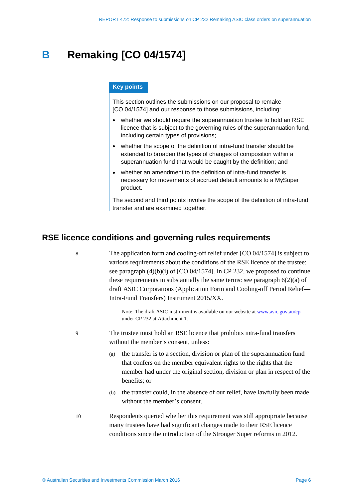## <span id="page-5-0"></span>**B Remaking [CO 04/1574]**

#### **Key points**

This section outlines the submissions on our proposal to remake [CO 04/1574] and our response to those submissions, including:

- whether we should require the superannuation trustee to hold an RSE licence that is subject to the governing rules of the superannuation fund, including certain types of provisions;
- whether the scope of the definition of intra-fund transfer should be extended to broaden the types of changes of composition within a superannuation fund that would be caught by the definition; and
- whether an amendment to the definition of intra-fund transfer is necessary for movements of accrued default amounts to a MySuper product.

The second and third points involve the scope of the definition of intra-fund transfer and are examined together.

## <span id="page-5-1"></span>**RSE licence conditions and governing rules requirements**

8 The application form and cooling-off relief under [CO 04/1574] is subject to various requirements about the conditions of the RSE licence of the trustee: see paragraph (4)(b)(i) of [CO 04/1574]. In CP 232, we proposed to continue these requirements in substantially the same terms: see paragraph  $6(2)(a)$  of draft ASIC Corporations (Application Form and Cooling-off Period Relief— Intra-Fund Transfers) Instrument 2015/XX.

> Note: The draft ASIC instrument is available on our website a[t www.asic.gov.au/cp](http://www.asic.gov.au/cp) under CP 232 at Attachment 1.

- 9 The trustee must hold an RSE licence that prohibits intra-fund transfers without the member's consent, unless:
	- (a) the transfer is to a section, division or plan of the superannuation fund that confers on the member equivalent rights to the rights that the member had under the original section, division or plan in respect of the benefits; or
	- (b) the transfer could, in the absence of our relief, have lawfully been made without the member's consent.
- 10 Respondents queried whether this requirement was still appropriate because many trustees have had significant changes made to their RSE licence conditions since the introduction of the Stronger Super reforms in 2012.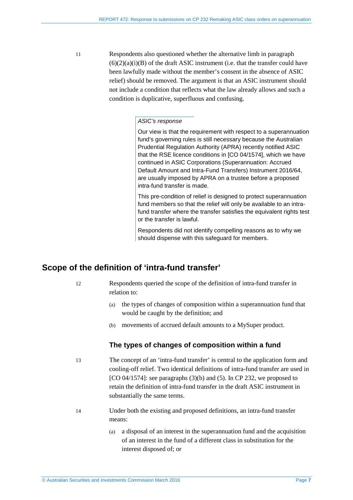11 Respondents also questioned whether the alternative limb in paragraph  $(6)(2)(a)(i)(B)$  of the draft ASIC instrument (i.e. that the transfer could have been lawfully made without the member's consent in the absence of ASIC relief) should be removed. The argument is that an ASIC instrument should not include a condition that reflects what the law already allows and such a condition is duplicative, superfluous and confusing.

#### *ASIC's response*

Our view is that the requirement with respect to a superannuation fund's governing rules is still necessary because the Australian Prudential Regulation Authority (APRA) recently notified ASIC that the RSE licence conditions in [CO 04/1574], which we have continued in ASIC Corporations (Superannuation: Accrued Default Amount and Intra-Fund Transfers) Instrument 2016/64, are usually imposed by APRA on a trustee before a proposed intra-fund transfer is made.

This pre-condition of relief is designed to protect superannuation fund members so that the relief will only be available to an intrafund transfer where the transfer satisfies the equivalent rights test or the transfer is lawful.

Respondents did not identify compelling reasons as to why we should dispense with this safeguard for members.

### <span id="page-6-0"></span>**Scope of the definition of 'intra-fund transfer'**

12 Respondents queried the scope of the definition of intra-fund transfer in relation to:

- (a) the types of changes of composition within a superannuation fund that would be caught by the definition; and
- (b) movements of accrued default amounts to a MySuper product.

### **The types of changes of composition within a fund**

13 The concept of an 'intra-fund transfer' is central to the application form and cooling-off relief. Two identical definitions of intra-fund transfer are used in [CO 04/1574]: see paragraphs  $(3)(b)$  and  $(5)$ . In CP 232, we proposed to retain the definition of intra-fund transfer in the draft ASIC instrument in substantially the same terms.

- 14 Under both the existing and proposed definitions, an intra-fund transfer means:
	- (a) a disposal of an interest in the superannuation fund and the acquisition of an interest in the fund of a different class in substitution for the interest disposed of; or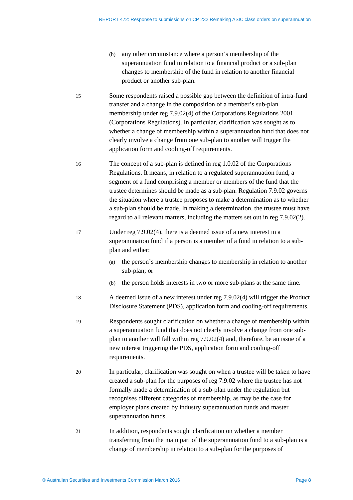- (b) any other circumstance where a person's membership of the superannuation fund in relation to a financial product or a sub-plan changes to membership of the fund in relation to another financial product or another sub-plan.
- 15 Some respondents raised a possible gap between the definition of intra-fund transfer and a change in the composition of a member's sub-plan membership under reg 7.9.02(4) of the Corporations Regulations 2001 (Corporations Regulations). In particular, clarification was sought as to whether a change of membership within a superannuation fund that does not clearly involve a change from one sub-plan to another will trigger the application form and cooling-off requirements.
- 16 The concept of a sub-plan is defined in reg 1.0.02 of the Corporations Regulations. It means, in relation to a regulated superannuation fund, a segment of a fund comprising a member or members of the fund that the trustee determines should be made as a sub-plan. Regulation 7.9.02 governs the situation where a trustee proposes to make a determination as to whether a sub-plan should be made. In making a determination, the trustee must have regard to all relevant matters, including the matters set out in reg 7.9.02(2).
- 17 Under reg 7.9.02(4), there is a deemed issue of a new interest in a superannuation fund if a person is a member of a fund in relation to a subplan and either:
	- (a) the person's membership changes to membership in relation to another sub-plan; or
	- (b) the person holds interests in two or more sub-plans at the same time.
- 18 A deemed issue of a new interest under reg 7.9.02(4) will trigger the Product Disclosure Statement (PDS), application form and cooling-off requirements.
- 19 Respondents sought clarification on whether a change of membership within a superannuation fund that does not clearly involve a change from one subplan to another will fall within reg 7.9.02(4) and, therefore, be an issue of a new interest triggering the PDS, application form and cooling-off requirements.
- 20 In particular, clarification was sought on when a trustee will be taken to have created a sub-plan for the purposes of reg 7.9.02 where the trustee has not formally made a determination of a sub-plan under the regulation but recognises different categories of membership, as may be the case for employer plans created by industry superannuation funds and master superannuation funds.
- 21 In addition, respondents sought clarification on whether a member transferring from the main part of the superannuation fund to a sub-plan is a change of membership in relation to a sub-plan for the purposes of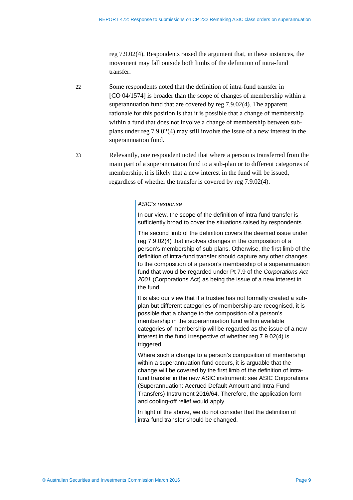reg 7.9.02(4). Respondents raised the argument that, in these instances, the movement may fall outside both limbs of the definition of intra-fund transfer.

- 22 Some respondents noted that the definition of intra-fund transfer in [CO 04/1574] is broader than the scope of changes of membership within a superannuation fund that are covered by reg 7.9.02(4). The apparent rationale for this position is that it is possible that a change of membership within a fund that does not involve a change of membership between subplans under reg 7.9.02(4) may still involve the issue of a new interest in the superannuation fund.
- 23 Relevantly, one respondent noted that where a person is transferred from the main part of a superannuation fund to a sub-plan or to different categories of membership, it is likely that a new interest in the fund will be issued, regardless of whether the transfer is covered by reg 7.9.02(4).

#### *ASIC's response*

In our view, the scope of the definition of intra-fund transfer is sufficiently broad to cover the situations raised by respondents.

The second limb of the definition covers the deemed issue under reg 7.9.02(4) that involves changes in the composition of a person's membership of sub-plans. Otherwise, the first limb of the definition of intra-fund transfer should capture any other changes to the composition of a person's membership of a superannuation fund that would be regarded under Pt 7.9 of the *Corporations Act 2001* (Corporations Act) as being the issue of a new interest in the fund.

It is also our view that if a trustee has not formally created a subplan but different categories of membership are recognised, it is possible that a change to the composition of a person's membership in the superannuation fund within available categories of membership will be regarded as the issue of a new interest in the fund irrespective of whether reg 7.9.02(4) is triggered.

Where such a change to a person's composition of membership within a superannuation fund occurs, it is arguable that the change will be covered by the first limb of the definition of intrafund transfer in the new ASIC instrument: see ASIC Corporations (Superannuation: Accrued Default Amount and Intra-Fund Transfers) Instrument 2016/64. Therefore, the application form and cooling-off relief would apply.

In light of the above, we do not consider that the definition of intra-fund transfer should be changed.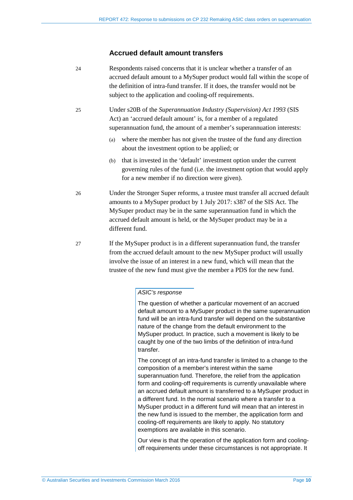#### **Accrued default amount transfers**

- 24 Respondents raised concerns that it is unclear whether a transfer of an accrued default amount to a MySuper product would fall within the scope of the definition of intra-fund transfer. If it does, the transfer would not be subject to the application and cooling-off requirements.
- 25 Under s20B of the *Superannuation Industry (Supervision) Act 1993* (SIS Act) an 'accrued default amount' is, for a member of a regulated superannuation fund, the amount of a member's superannuation interests:
	- (a) where the member has not given the trustee of the fund any direction about the investment option to be applied; or
	- (b) that is invested in the 'default' investment option under the current governing rules of the fund (i.e. the investment option that would apply for a new member if no direction were given).
- 26 Under the Stronger Super reforms, a trustee must transfer all accrued default amounts to a MySuper product by 1 July 2017: s387 of the SIS Act. The MySuper product may be in the same superannuation fund in which the accrued default amount is held, or the MySuper product may be in a different fund.
- 27 If the MySuper product is in a different superannuation fund, the transfer from the accrued default amount to the new MySuper product will usually involve the issue of an interest in a new fund, which will mean that the trustee of the new fund must give the member a PDS for the new fund.

#### *ASIC's response*

The question of whether a particular movement of an accrued default amount to a MySuper product in the same superannuation fund will be an intra-fund transfer will depend on the substantive nature of the change from the default environment to the MySuper product. In practice, such a movement is likely to be caught by one of the two limbs of the definition of intra-fund transfer.

The concept of an intra-fund transfer is limited to a change to the composition of a member's interest within the same superannuation fund. Therefore, the relief from the application form and cooling-off requirements is currently unavailable where an accrued default amount is transferred to a MySuper product in a different fund. In the normal scenario where a transfer to a MySuper product in a different fund will mean that an interest in the new fund is issued to the member, the application form and cooling-off requirements are likely to apply. No statutory exemptions are available in this scenario.

Our view is that the operation of the application form and coolingoff requirements under these circumstances is not appropriate. It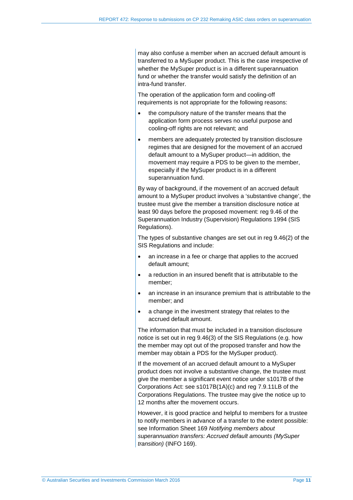may also confuse a member when an accrued default amount is transferred to a MySuper product. This is the case irrespective of whether the MySuper product is in a different superannuation fund or whether the transfer would satisfy the definition of an intra-fund transfer.

The operation of the application form and cooling-off requirements is not appropriate for the following reasons:

- the compulsory nature of the transfer means that the application form process serves no useful purpose and cooling-off rights are not relevant; and
- members are adequately protected by transition disclosure regimes that are designed for the movement of an accrued default amount to a MySuper product—in addition, the movement may require a PDS to be given to the member, especially if the MySuper product is in a different superannuation fund.

By way of background, if the movement of an accrued default amount to a MySuper product involves a 'substantive change', the trustee must give the member a transition disclosure notice at least 90 days before the proposed movement: reg 9.46 of the Superannuation Industry (Supervision) Regulations 1994 (SIS Regulations).

The types of substantive changes are set out in reg 9.46(2) of the SIS Regulations and include:

- an increase in a fee or charge that applies to the accrued default amount;
- a reduction in an insured benefit that is attributable to the member;
- an increase in an insurance premium that is attributable to the member; and
- a change in the investment strategy that relates to the accrued default amount.

The information that must be included in a transition disclosure notice is set out in reg 9.46(3) of the SIS Regulations (e.g. how the member may opt out of the proposed transfer and how the member may obtain a PDS for the MySuper product).

If the movement of an accrued default amount to a MySuper product does not involve a substantive change, the trustee must give the member a significant event notice under s1017B of the Corporations Act: see s1017B(1A)(c) and reg 7.9.11LB of the Corporations Regulations. The trustee may give the notice up to 12 months after the movement occurs.

However, it is good practice and helpful to members for a trustee to notify members in advance of a transfer to the extent possible: see Information Sheet 169 *Notifying members about superannuation transfers: Accrued default amounts (MySuper transition)* (INFO 169).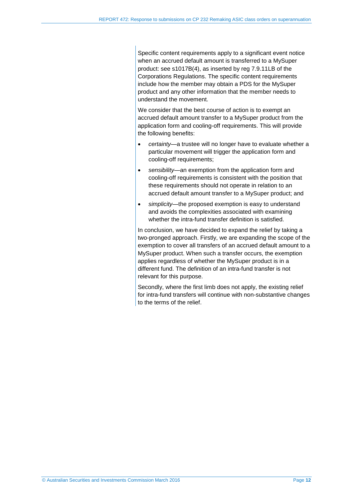Specific content requirements apply to a significant event notice when an accrued default amount is transferred to a MySuper product: see s1017B(4), as inserted by reg 7.9.11LB of the Corporations Regulations. The specific content requirements include how the member may obtain a PDS for the MySuper product and any other information that the member needs to understand the movement.

We consider that the best course of action is to exempt an accrued default amount transfer to a MySuper product from the application form and cooling-off requirements. This will provide the following benefits:

- *certainty*—a trustee will no longer have to evaluate whether a particular movement will trigger the application form and cooling-off requirements;
- *sensibility*—an exemption from the application form and cooling-off requirements is consistent with the position that these requirements should not operate in relation to an accrued default amount transfer to a MySuper product; and
- *simplicity*—the proposed exemption is easy to understand and avoids the complexities associated with examining whether the intra-fund transfer definition is satisfied.

In conclusion, we have decided to expand the relief by taking a two-pronged approach. Firstly, we are expanding the scope of the exemption to cover all transfers of an accrued default amount to a MySuper product. When such a transfer occurs, the exemption applies regardless of whether the MySuper product is in a different fund. The definition of an intra-fund transfer is not relevant for this purpose.

Secondly, where the first limb does not apply, the existing relief for intra-fund transfers will continue with non-substantive changes to the terms of the relief.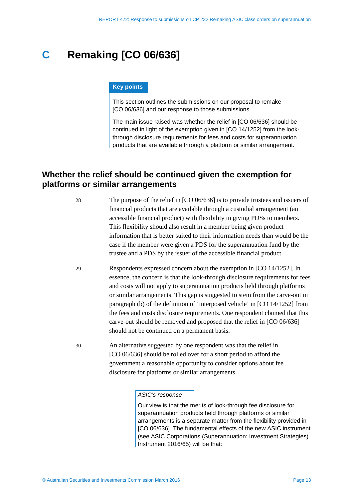## <span id="page-12-0"></span>**C Remaking [CO 06/636]**

#### **Key points**

This section outlines the submissions on our proposal to remake [CO 06/636] and our response to those submissions.

The main issue raised was whether the relief in [CO 06/636] should be continued in light of the exemption given in [CO 14/1252] from the lookthrough disclosure requirements for fees and costs for superannuation products that are available through a platform or similar arrangement.

## <span id="page-12-1"></span>**Whether the relief should be continued given the exemption for platforms or similar arrangements**

28 The purpose of the relief in [CO 06/636] is to provide trustees and issuers of financial products that are available through a custodial arrangement (an accessible financial product) with flexibility in giving PDSs to members. This flexibility should also result in a member being given product information that is better suited to their information needs than would be the case if the member were given a PDS for the superannuation fund by the trustee and a PDS by the issuer of the accessible financial product.

- 29 Respondents expressed concern about the exemption in [CO 14/1252]. In essence, the concern is that the look-through disclosure requirements for fees and costs will not apply to superannuation products held through platforms or similar arrangements. This gap is suggested to stem from the carve-out in paragraph (b) of the definition of 'interposed vehicle' in [CO 14/1252] from the fees and costs disclosure requirements. One respondent claimed that this carve-out should be removed and proposed that the relief in [CO 06/636] should not be continued on a permanent basis.
- 30 An alternative suggested by one respondent was that the relief in [CO 06/636] should be rolled over for a short period to afford the government a reasonable opportunity to consider options about fee disclosure for platforms or similar arrangements.

*ASIC's response*

Our view is that the merits of look-through fee disclosure for superannuation products held through platforms or similar arrangements is a separate matter from the flexibility provided in [CO 06/636]. The fundamental effects of the new ASIC instrument (see ASIC Corporations (Superannuation: Investment Strategies) Instrument 2016/65) will be that: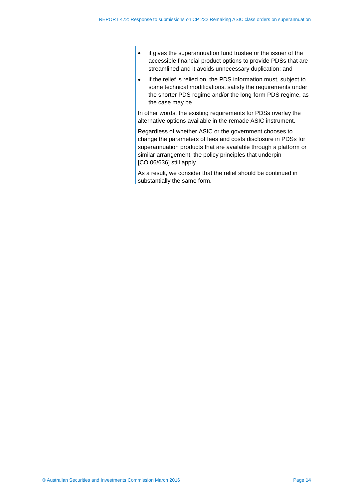- it gives the superannuation fund trustee or the issuer of the accessible financial product options to provide PDSs that are streamlined and it avoids unnecessary duplication; and
- if the relief is relied on, the PDS information must, subject to some technical modifications, satisfy the requirements under the shorter PDS regime and/or the long-form PDS regime, as the case may be.

In other words, the existing requirements for PDSs overlay the alternative options available in the remade ASIC instrument.

Regardless of whether ASIC or the government chooses to change the parameters of fees and costs disclosure in PDSs for superannuation products that are available through a platform or similar arrangement, the policy principles that underpin [CO 06/636] still apply.

As a result, we consider that the relief should be continued in substantially the same form.